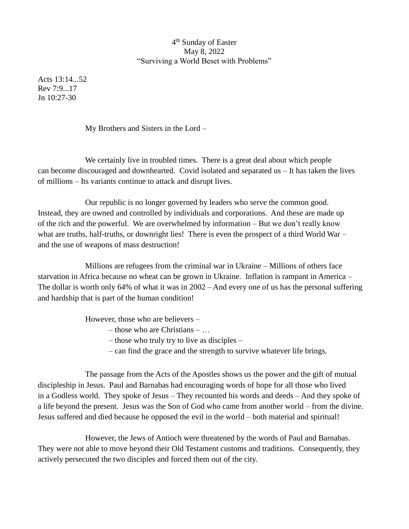## 4<sup>th</sup> Sunday of Easter May 8, 2022 "Surviving a World Beset with Problems"

Acts 13:14...52 Rev 7:9...17  $Jn$  10:27-30

My Brothers and Sisters in the Lord –

We certainly live in troubled times. There is a great deal about which people can become discouraged and downhearted. Covid isolated and separated us – It has taken the lives of millions – Its variants continue to attack and disrupt lives.

Our republic is no longer governed by leaders who serve the common good. Instead, they are owned and controlled by individuals and corporations. And these are made up of the rich and the powerful. We are overwhelmed by information – But we don't really know what are truths, half-truths, or downright lies! There is even the prospect of a third World War – and the use of weapons of mass destruction!

Millions are refugees from the criminal war in Ukraine – Millions of others face starvation in Africa because no wheat can be grown in Ukraine. Inflation is rampant in America – The dollar is worth only 64% of what it was in 2002 – And every one of us has the personal suffering and hardship that is part of the human condition!

However, those who are believers –

- those who are Christians …
- those who truly try to live as disciples –
- can find the grace and the strength to survive whatever life brings.

The passage from the Acts of the Apostles shows us the power and the gift of mutual discipleship in Jesus. Paul and Barnabas had encouraging words of hope for all those who lived in a Godless world. They spoke of Jesus – They recounted his words and deeds – And they spoke of a life beyond the present. Jesus was the Son of God who came from another world – from the divine. Jesus suffered and died because he opposed the evil in the world – both material and spiritual!

However, the Jews of Antioch were threatened by the words of Paul and Barnabas. They were not able to move beyond their Old Testament customs and traditions. Consequently, they actively persecuted the two disciples and forced them out of the city.